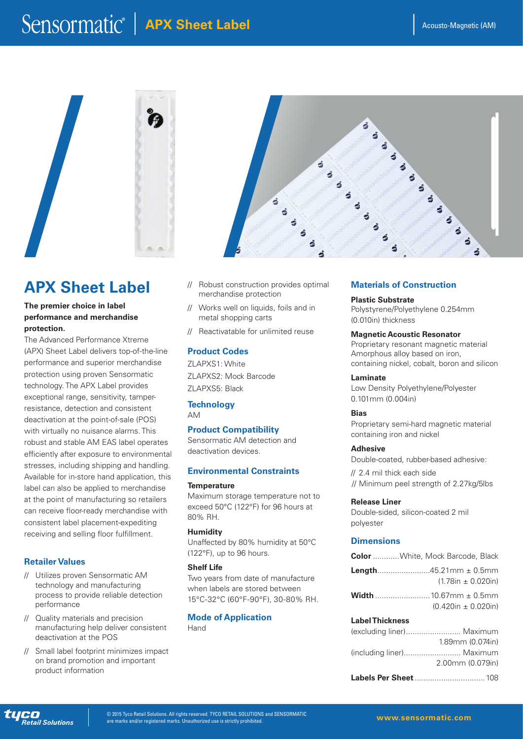$\mathbf{s}$ S

# Sensormatic<sup>®</sup> | APX Sheet Label





# **APX Sheet Label**

# **The premier choice in label performance and merchandise protection.**

The Advanced Performance Xtreme (APX) Sheet Label delivers top-of-the-line performance and superior merchandise protection using proven Sensormatic technology. The APX Label provides exceptional range, sensitivity, tamperresistance, detection and consistent deactivation at the point-of-sale (POS) with virtually no nuisance alarms. This robust and stable AM EAS label operates efficiently after exposure to environmental stresses, including shipping and handling. Available for in-store hand application, this label can also be applied to merchandise at the point of manufacturing so retailers can receive floor-ready merchandise with consistent label placement-expediting receiving and selling floor fulfillment.

# **Retailer Values**

- // Utilizes proven Sensormatic AM technology and manufacturing process to provide reliable detection performance
- // Quality materials and precision manufacturing help deliver consistent deactivation at the POS
- // Small label footprint minimizes impact on brand promotion and important product information
- // Robust construction provides optimal merchandise protection
- // Works well on liquids, foils and in metal shopping carts
- // Reactivatable for unlimited reuse

# **Product Codes**

ZLAPXS1: White ZLAPXS2: Mock Barcode ZLAPXS5: Black

# **Technology**

AM

### **Product Compatibility**

Sensormatic AM detection and deactivation devices.

#### **Environmental Constraints**

**Temperature**

Maximum storage temperature not to exceed 50°C (122°F) for 96 hours at 80% RH.

#### **Humidity**

Unaffected by 80% humidity at 50°C (122°F), up to 96 hours.

#### **Shelf Life**

Two years from date of manufacture when labels are stored between 15°C-32°C (60°F-90°F), 30-80% RH.

#### **Mode of Application** Hand

# **Materials of Construction**

**Plastic Substrate** Polystyrene/Polyethylene 0.254mm (0.010in) thickness

#### **Magnetic Acoustic Resonator**

Proprietary resonant magnetic material Amorphous alloy based on iron, containing nickel, cobalt, boron and silicon

#### **Laminate**

5

 $\ddot{\bullet}$ 

 $\ddot{\bullet}$ ś  $\overline{\mathbf{r}}$ 

Low Density Polyethylene/Polyester 0.101mm (0.004in)

#### **Bias**

Proprietary semi-hard magnetic material containing iron and nickel

#### **Adhesive**

Double-coated, rubber-based adhesive:

// 2.4 mil thick each side // Minimum peel strength of 2.27kg/5lbs

#### **Release Liner**

Double-sided, silicon-coated 2 mil polyester

### **Dimensions**

| <b>Color</b> White, Mock Barcode, Black |
|-----------------------------------------|
| $(1.78in \pm 0.020in)$                  |
| $(0.420in \pm 0.020in)$                 |

# **Label Thickness**

| (excluding liner) Maximum |
|---------------------------|
| $1.89$ mm $(0.074$ in $)$ |
| (including liner) Maximum |
| 2.00mm (0.079in)          |
|                           |